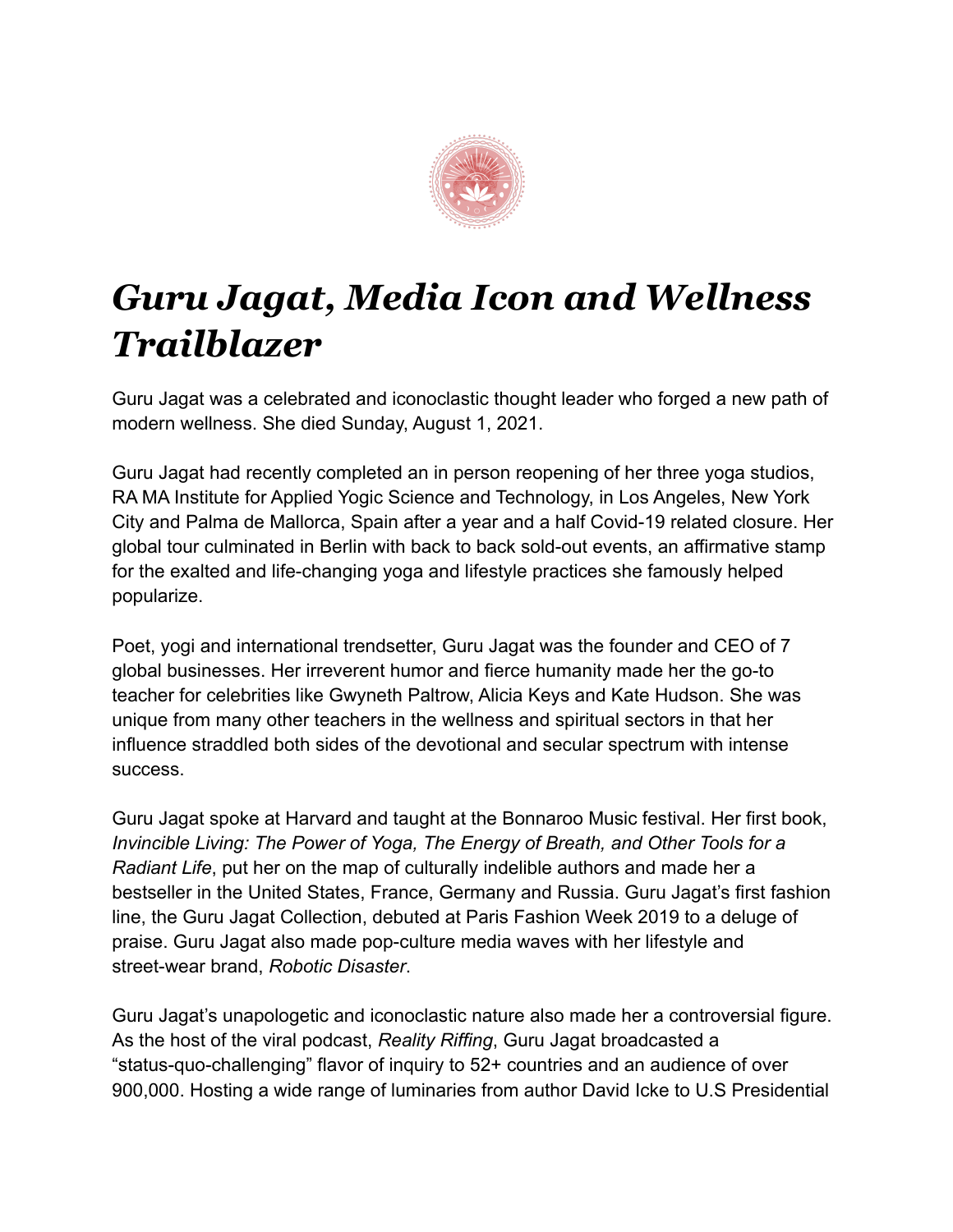

## *Guru Jagat, Media Icon and Wellness Trailblazer*

Guru Jagat was a celebrated and iconoclastic thought leader who forged a new path of modern wellness. She died Sunday, August 1, 2021.

Guru Jagat had recently completed an in person reopening of her three yoga studios, RA MA Institute for Applied Yogic Science and Technology, in Los Angeles, New York City and Palma de Mallorca, Spain after a year and a half Covid-19 related closure. Her global tour culminated in Berlin with back to back sold-out events, an affirmative stamp for the exalted and life-changing yoga and lifestyle practices she famously helped popularize.

Poet, yogi and international trendsetter, Guru Jagat was the founder and CEO of 7 global businesses. Her irreverent humor and fierce humanity made her the go-to teacher for celebrities like Gwyneth Paltrow, Alicia Keys and Kate Hudson. She was unique from many other teachers in the wellness and spiritual sectors in that her influence straddled both sides of the devotional and secular spectrum with intense success.

Guru Jagat spoke at Harvard and taught at the Bonnaroo Music festival. Her first book, *Invincible Living: The Power of Yoga, The Energy of Breath, and Other Tools for a Radiant Life*, put her on the map of culturally indelible authors and made her a bestseller in the United States, France, Germany and Russia. Guru Jagat's first fashion line, the Guru Jagat Collection, debuted at Paris Fashion Week 2019 to a deluge of praise. Guru Jagat also made pop-culture media waves with her lifestyle and street-wear brand, *Robotic Disaster*.

Guru Jagat's unapologetic and iconoclastic nature also made her a controversial figure. As the host of the viral podcast, *Reality Riffing*, Guru Jagat broadcasted a "status-quo-challenging" flavor of inquiry to 52+ countries and an audience of over 900,000. Hosting a wide range of luminaries from author David Icke to U.S Presidential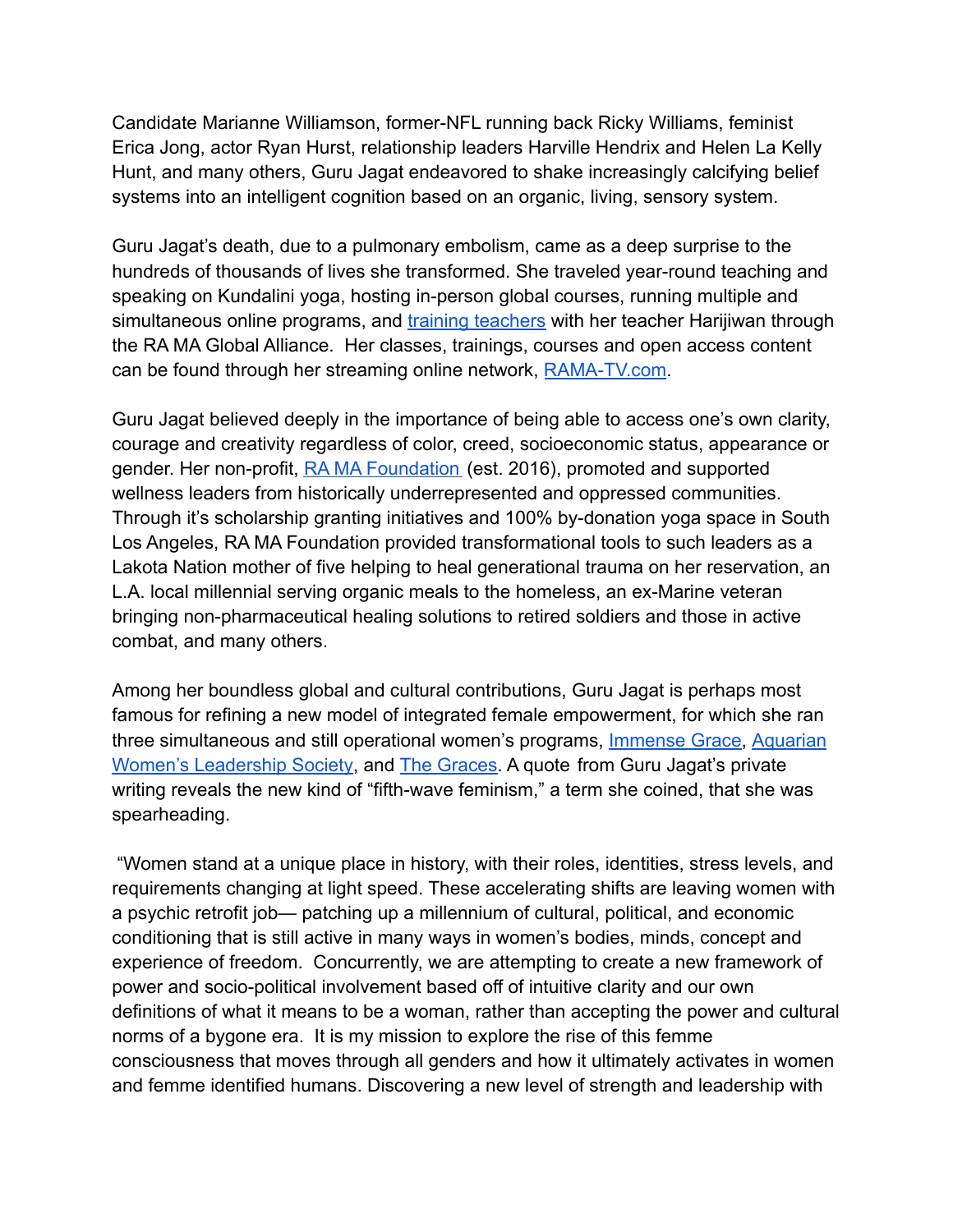Candidate Marianne Williamson, former-NFL running back Ricky Williams, feminist Erica Jong, actor Ryan Hurst, relationship leaders Harville Hendrix and Helen La Kelly Hunt, and many others, Guru Jagat endeavored to shake increasingly calcifying belief systems into an intelligent cognition based on an organic, living, sensory system.

Guru Jagat's death, due to a pulmonary embolism, came as a deep surprise to the hundreds of thousands of lives she transformed. She traveled year-round teaching and speaking on Kundalini yoga, hosting in-person global courses, running multiple and simultaneous online programs, and [training teachers](https://ramayogainstitute.com/kundalini-training/) with her teacher Harijiwan through the RA MA Global Alliance. Her classes, trainings, courses and open access content can be found through her streaming online network, [RAMA-TV.com](https://ramayogainstitute.com/ra-ma-tv/).

Guru Jagat believed deeply in the importance of being able to access one's own clarity, courage and creativity regardless of color, creed, socioeconomic status, appearance or gender. Her non-profit, [RA MA Foundation](https://ramayogainstitute.com/ra-ma-foundation/) (est. 2016), promoted and supported wellness leaders from historically underrepresented and oppressed communities. Through it's scholarship granting initiatives and 100% by-donation yoga space in South Los Angeles, RA MA Foundation provided transformational tools to such leaders as a Lakota Nation mother of five helping to heal generational trauma on her reservation, an L.A. local millennial serving organic meals to the homeless, an ex-Marine veteran bringing non-pharmaceutical healing solutions to retired soldiers and those in active combat, and many others.

Among her boundless global and cultural contributions, Guru Jagat is perhaps most famous for refining a new model of integrated female empowerment, for which she ran three simultaneous and still operational women's programs, [Immense Grace,](https://ramayogainstitute.com/immense-grace/) [Aquarian](https://ramayogainstitute.com/aquarian-womens-leadership-society/) [Women's Leadership Society,](https://ramayogainstitute.com/aquarian-womens-leadership-society/) and [The Graces.](https://ramayogainstitute.com/the-graces/) A quote from Guru Jagat's private writing reveals the new kind of "fifth-wave feminism," a term she coined, that she was spearheading.

"Women stand at a unique place in history, with their roles, identities, stress levels, and requirements changing at light speed. These accelerating shifts are leaving women with a psychic retrofit job— patching up a millennium of cultural, political, and economic conditioning that is still active in many ways in women's bodies, minds, concept and experience of freedom. Concurrently, we are attempting to create a new framework of power and socio-political involvement based off of intuitive clarity and our own definitions of what it means to be a woman, rather than accepting the power and cultural norms of a bygone era. It is my mission to explore the rise of this femme consciousness that moves through all genders and how it ultimately activates in women and femme identified humans. Discovering a new level of strength and leadership with